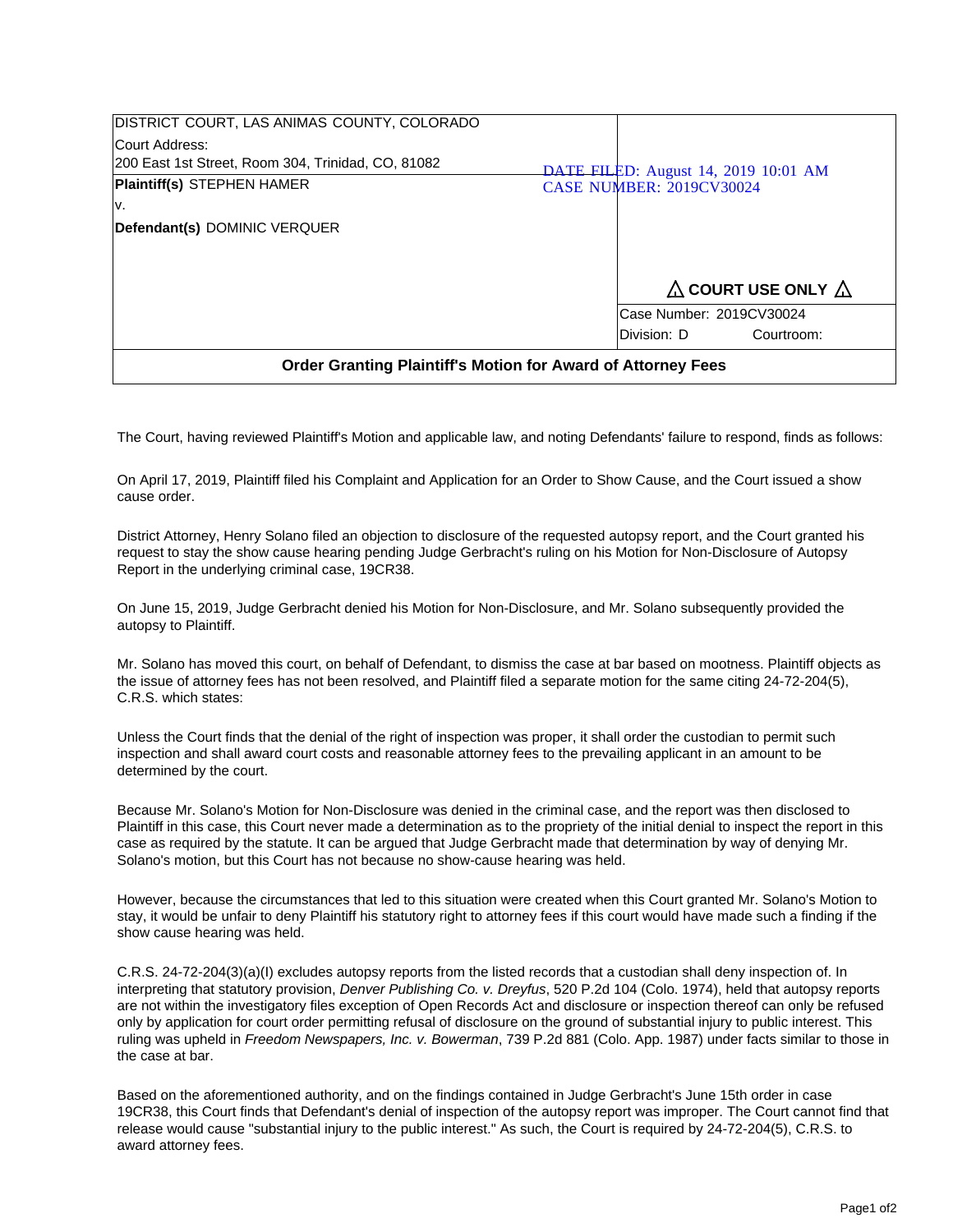| DISTRICT COURT, LAS ANIMAS COUNTY, COLORADO                         |  |                                  |                                             |
|---------------------------------------------------------------------|--|----------------------------------|---------------------------------------------|
| Court Address:                                                      |  |                                  |                                             |
| 200 East 1st Street, Room 304, Trinidad, CO, 81082                  |  |                                  | <b>DATE FILED:</b> August 14, 2019 10:01 AM |
| <b>Plaintiff(s) STEPHEN HAMER</b>                                   |  | <b>CASE NUMBER: 2019CV30024</b>  |                                             |
| IV.                                                                 |  |                                  |                                             |
| Defendant(s) DOMINIC VERQUER                                        |  |                                  |                                             |
|                                                                     |  |                                  |                                             |
|                                                                     |  |                                  |                                             |
|                                                                     |  | $\Delta$ COURT USE ONLY $\Delta$ |                                             |
|                                                                     |  | Case Number: 2019CV30024         |                                             |
|                                                                     |  | Division: D                      | Courtroom:                                  |
| <b>Order Granting Plaintiff's Motion for Award of Attorney Fees</b> |  |                                  |                                             |

The Court, having reviewed Plaintiff's Motion and applicable law, and noting Defendants' failure to respond, finds as follows:

On April 17, 2019, Plaintiff filed his Complaint and Application for an Order to Show Cause, and the Court issued a show cause order.

District Attorney, Henry Solano filed an objection to disclosure of the requested autopsy report, and the Court granted his request to stay the show cause hearing pending Judge Gerbracht's ruling on his Motion for Non-Disclosure of Autopsy Report in the underlying criminal case, 19CR38.

On June 15, 2019, Judge Gerbracht denied his Motion for Non-Disclosure, and Mr. Solano subsequently provided the autopsy to Plaintiff.

Mr. Solano has moved this court, on behalf of Defendant, to dismiss the case at bar based on mootness. Plaintiff objects as the issue of attorney fees has not been resolved, and Plaintiff filed a separate motion for the same citing 24-72-204(5), C.R.S. which states:

Unless the Court finds that the denial of the right of inspection was proper, it shall order the custodian to permit such inspection and shall award court costs and reasonable attorney fees to the prevailing applicant in an amount to be determined by the court.

Because Mr. Solano's Motion for Non-Disclosure was denied in the criminal case, and the report was then disclosed to Plaintiff in this case, this Court never made a determination as to the propriety of the initial denial to inspect the report in this case as required by the statute. It can be argued that Judge Gerbracht made that determination by way of denying Mr. Solano's motion, but this Court has not because no show-cause hearing was held.

However, because the circumstances that led to this situation were created when this Court granted Mr. Solano's Motion to stay, it would be unfair to deny Plaintiff his statutory right to attorney fees if this court would have made such a finding if the show cause hearing was held.

C.R.S. 24-72-204(3)(a)(I) excludes autopsy reports from the listed records that a custodian shall deny inspection of. In interpreting that statutory provision, *Denver Publishing Co. v. Dreyfus*, 520 P.2d 104 (Colo. 1974), held that autopsy reports are not within the investigatory files exception of Open Records Act and disclosure or inspection thereof can only be refused only by application for court order permitting refusal of disclosure on the ground of substantial injury to public interest. This ruling was upheld in Freedom Newspapers, Inc. v. Bowerman, 739 P.2d 881 (Colo. App. 1987) under facts similar to those in the case at bar.

Based on the aforementioned authority, and on the findings contained in Judge Gerbracht's June 15th order in case 19CR38, this Court finds that Defendant's denial of inspection of the autopsy report was improper. The Court cannot find that release would cause "substantial injury to the public interest." As such, the Court is required by 24-72-204(5), C.R.S. to award attorney fees.